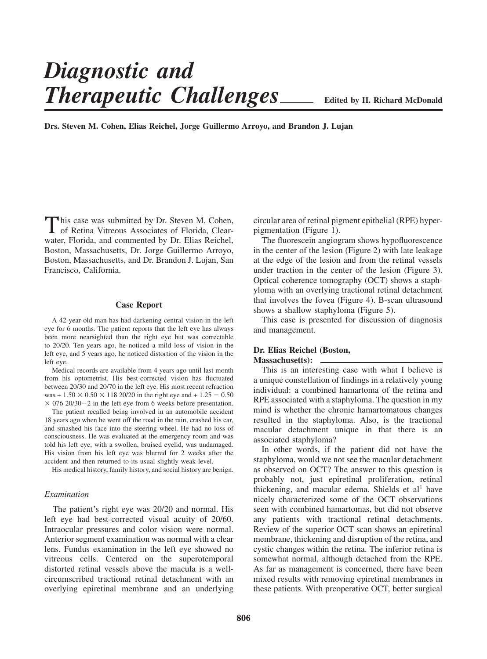Drs. Steven M. Cohen, Elias Reichel, Jorge Guillermo Arroyo, and Brandon J. Lujan

This case was submitted by Dr. Steven M. Cohen,<br>
of Retina Vitreous Associates of Florida, Clearwater, Florida, and commented by Dr. Elias Reichel, Boston, Massachusetts, Dr. Jorge Guillermo Arroyo, Boston, Massachusetts, and Dr. Brandon J. Lujan, San Francisco, California.

### Case Report

A 42-year-old man has had darkening central vision in the left eye for 6 months. The patient reports that the left eye has always been more nearsighted than the right eye but was correctable to 20/20. Ten years ago, he noticed a mild loss of vision in the left eye, and 5 years ago, he noticed distortion of the vision in the left eye.

Medical records are available from 4 years ago until last month from his optometrist. His best-corrected vision has fluctuated between 20/30 and 20/70 in the left eye. His most recent refraction was +  $1.50 \times 0.50 \times 118$  20/20 in the right eye and +  $1.25 - 0.50$  $\times$  076 20/30 - 2 in the left eye from 6 weeks before presentation.

The patient recalled being involved in an automobile accident 18 years ago when he went off the road in the rain, crashed his car, and smashed his face into the steering wheel. He had no loss of consciousness. He was evaluated at the emergency room and was told his left eye, with a swollen, bruised eyelid, was undamaged. His vision from his left eye was blurred for 2 weeks after the accident and then returned to its usual slightly weak level.

His medical history, family history, and social history are benign.

## Examination

The patient's right eye was 20/20 and normal. His left eye had best-corrected visual acuity of 20/60. Intraocular pressures and color vision were normal. Anterior segment examination was normal with a clear lens. Fundus examination in the left eye showed no vitreous cells. Centered on the superotemporal distorted retinal vessels above the macula is a wellcircumscribed tractional retinal detachment with an overlying epiretinal membrane and an underlying circular area of retinal pigment epithelial (RPE) hyperpigmentation (Figure 1).

The fluorescein angiogram shows hypofluorescence in the center of the lesion (Figure 2) with late leakage at the edge of the lesion and from the retinal vessels under traction in the center of the lesion (Figure 3). Optical coherence tomography (OCT) shows a staphyloma with an overlying tractional retinal detachment that involves the fovea (Figure 4). B-scan ultrasound shows a shallow staphyloma (Figure 5).

This case is presented for discussion of diagnosis and management.

## Dr. Elias Reichel (Boston, Massachusetts):

This is an interesting case with what I believe is a unique constellation of findings in a relatively young individual: a combined hamartoma of the retina and RPE associated with a staphyloma. The question in my mind is whether the chronic hamartomatous changes resulted in the staphyloma. Also, is the tractional macular detachment unique in that there is an associated staphyloma?

In other words, if the patient did not have the staphyloma, would we not see the macular detachment as observed on OCT? The answer to this question is probably not, just epiretinal proliferation, retinal thickening, and macular edema. Shields et  $al<sup>1</sup>$  have nicely characterized some of the OCT observations seen with combined hamartomas, but did not observe any patients with tractional retinal detachments. Review of the superior OCT scan shows an epiretinal membrane, thickening and disruption of the retina, and cystic changes within the retina. The inferior retina is somewhat normal, although detached from the RPE. As far as management is concerned, there have been mixed results with removing epiretinal membranes in these patients. With preoperative OCT, better surgical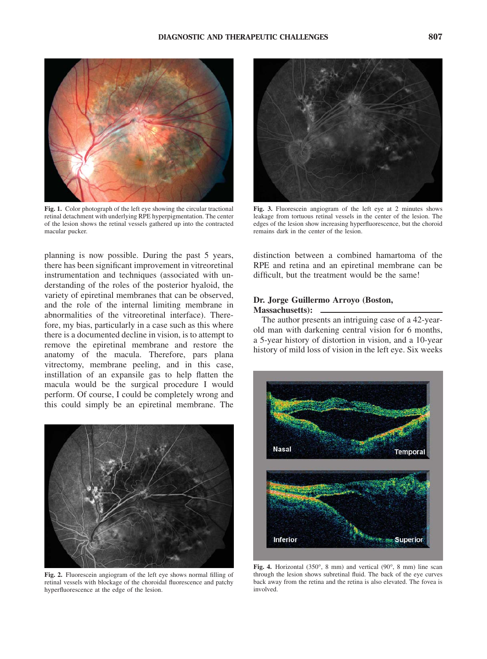

Fig. 1. Color photograph of the left eye showing the circular tractional retinal detachment with underlying RPE hyperpigmentation. The center of the lesion shows the retinal vessels gathered up into the contracted macular pucker.

planning is now possible. During the past 5 years, there has been significant improvement in vitreoretinal instrumentation and techniques (associated with understanding of the roles of the posterior hyaloid, the variety of epiretinal membranes that can be observed, and the role of the internal limiting membrane in abnormalities of the vitreoretinal interface). Therefore, my bias, particularly in a case such as this where there is a documented decline in vision, is to attempt to remove the epiretinal membrane and restore the anatomy of the macula. Therefore, pars plana vitrectomy, membrane peeling, and in this case, instillation of an expansile gas to help flatten the macula would be the surgical procedure I would perform. Of course, I could be completely wrong and this could simply be an epiretinal membrane. The



Fig. 2. Fluorescein angiogram of the left eye shows normal filling of retinal vessels with blockage of the choroidal fluorescence and patchy hyperfluorescence at the edge of the lesion.



Fig. 3. Fluorescein angiogram of the left eye at 2 minutes shows leakage from tortuous retinal vessels in the center of the lesion. The edges of the lesion show increasing hyperfluorescence, but the choroid remains dark in the center of the lesion.

distinction between a combined hamartoma of the RPE and retina and an epiretinal membrane can be difficult, but the treatment would be the same!

# Dr. Jorge Guillermo Arroyo (Boston, Massachusetts):

The author presents an intriguing case of a 42-yearold man with darkening central vision for 6 months, a 5-year history of distortion in vision, and a 10-year history of mild loss of vision in the left eye. Six weeks



Fig. 4. Horizontal  $(350^{\circ}, 8 \text{ mm})$  and vertical  $(90^{\circ}, 8 \text{ mm})$  line scan through the lesion shows subretinal fluid. The back of the eye curves back away from the retina and the retina is also elevated. The fovea is involved.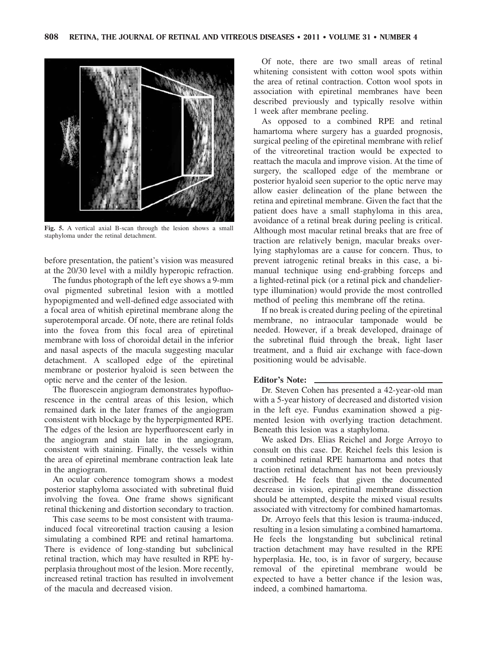

Fig. 5. A vertical axial B-scan through the lesion shows a small staphyloma under the retinal detachment.

before presentation, the patient's vision was measured at the 20/30 level with a mildly hyperopic refraction.

The fundus photograph of the left eye shows a 9-mm oval pigmented subretinal lesion with a mottled hypopigmented and well-defined edge associated with a focal area of whitish epiretinal membrane along the superotemporal arcade. Of note, there are retinal folds into the fovea from this focal area of epiretinal membrane with loss of choroidal detail in the inferior and nasal aspects of the macula suggesting macular detachment. A scalloped edge of the epiretinal membrane or posterior hyaloid is seen between the optic nerve and the center of the lesion.

The fluorescein angiogram demonstrates hypofluorescence in the central areas of this lesion, which remained dark in the later frames of the angiogram consistent with blockage by the hyperpigmented RPE. The edges of the lesion are hyperfluorescent early in the angiogram and stain late in the angiogram, consistent with staining. Finally, the vessels within the area of epiretinal membrane contraction leak late in the angiogram.

An ocular coherence tomogram shows a modest posterior staphyloma associated with subretinal fluid involving the fovea. One frame shows significant retinal thickening and distortion secondary to traction.

This case seems to be most consistent with traumainduced focal vitreoretinal traction causing a lesion simulating a combined RPE and retinal hamartoma. There is evidence of long-standing but subclinical retinal traction, which may have resulted in RPE hyperplasia throughout most of the lesion. More recently, increased retinal traction has resulted in involvement of the macula and decreased vision.

Of note, there are two small areas of retinal whitening consistent with cotton wool spots within the area of retinal contraction. Cotton wool spots in association with epiretinal membranes have been described previously and typically resolve within 1 week after membrane peeling.

As opposed to a combined RPE and retinal hamartoma where surgery has a guarded prognosis, surgical peeling of the epiretinal membrane with relief of the vitreoretinal traction would be expected to reattach the macula and improve vision. At the time of surgery, the scalloped edge of the membrane or posterior hyaloid seen superior to the optic nerve may allow easier delineation of the plane between the retina and epiretinal membrane. Given the fact that the patient does have a small staphyloma in this area, avoidance of a retinal break during peeling is critical. Although most macular retinal breaks that are free of traction are relatively benign, macular breaks overlying staphylomas are a cause for concern. Thus, to prevent iatrogenic retinal breaks in this case, a bimanual technique using end-grabbing forceps and a lighted-retinal pick (or a retinal pick and chandeliertype illumination) would provide the most controlled method of peeling this membrane off the retina.

If no break is created during peeling of the epiretinal membrane, no intraocular tamponade would be needed. However, if a break developed, drainage of the subretinal fluid through the break, light laser treatment, and a fluid air exchange with face-down positioning would be advisable.

### Editor's Note:

Dr. Steven Cohen has presented a 42-year-old man with a 5-year history of decreased and distorted vision in the left eye. Fundus examination showed a pigmented lesion with overlying traction detachment. Beneath this lesion was a staphyloma.

We asked Drs. Elias Reichel and Jorge Arroyo to consult on this case. Dr. Reichel feels this lesion is a combined retinal RPE hamartoma and notes that traction retinal detachment has not been previously described. He feels that given the documented decrease in vision, epiretinal membrane dissection should be attempted, despite the mixed visual results associated with vitrectomy for combined hamartomas.

Dr. Arroyo feels that this lesion is trauma-induced, resulting in a lesion simulating a combined hamartoma. He feels the longstanding but subclinical retinal traction detachment may have resulted in the RPE hyperplasia. He, too, is in favor of surgery, because removal of the epiretinal membrane would be expected to have a better chance if the lesion was, indeed, a combined hamartoma.